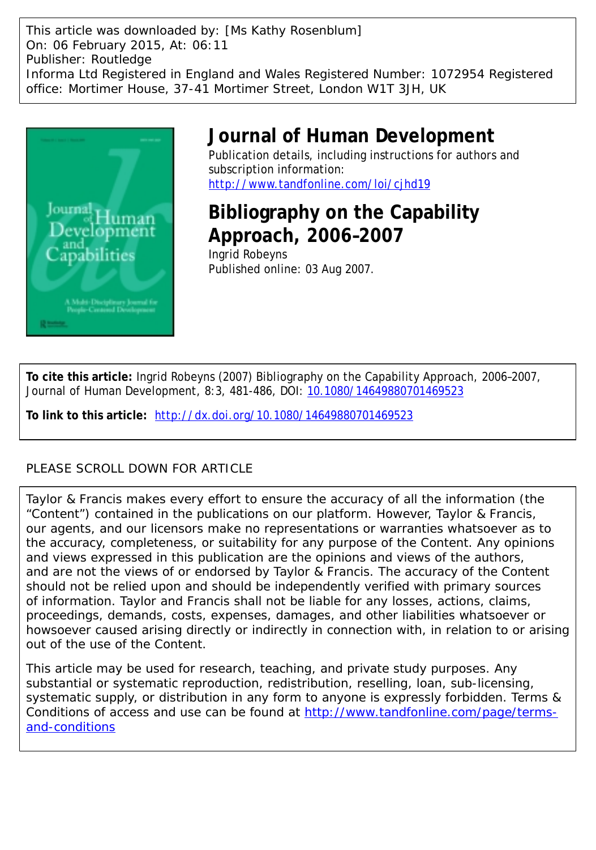This article was downloaded by: [Ms Kathy Rosenblum] On: 06 February 2015, At: 06:11 Publisher: Routledge Informa Ltd Registered in England and Wales Registered Number: 1072954 Registered office: Mortimer House, 37-41 Mortimer Street, London W1T 3JH, UK



### **Journal of Human Development**

Publication details, including instructions for authors and subscription information: <http://www.tandfonline.com/loi/cjhd19>

## **Bibliography on the Capability Approach, 2006–2007**

Ingrid Robeyns Published online: 03 Aug 2007.

**To cite this article:** Ingrid Robeyns (2007) Bibliography on the Capability Approach, 2006–2007, Journal of Human Development, 8:3, 481-486, DOI: [10.1080/14649880701469523](http://www.tandfonline.com/action/showCitFormats?doi=10.1080/14649880701469523)

**To link to this article:** <http://dx.doi.org/10.1080/14649880701469523>

### PLEASE SCROLL DOWN FOR ARTICLE

Taylor & Francis makes every effort to ensure the accuracy of all the information (the "Content") contained in the publications on our platform. However, Taylor & Francis, our agents, and our licensors make no representations or warranties whatsoever as to the accuracy, completeness, or suitability for any purpose of the Content. Any opinions and views expressed in this publication are the opinions and views of the authors, and are not the views of or endorsed by Taylor & Francis. The accuracy of the Content should not be relied upon and should be independently verified with primary sources of information. Taylor and Francis shall not be liable for any losses, actions, claims, proceedings, demands, costs, expenses, damages, and other liabilities whatsoever or howsoever caused arising directly or indirectly in connection with, in relation to or arising out of the use of the Content.

This article may be used for research, teaching, and private study purposes. Any substantial or systematic reproduction, redistribution, reselling, loan, sub-licensing, systematic supply, or distribution in any form to anyone is expressly forbidden. Terms & Conditions of access and use can be found at [http://www.tandfonline.com/page/terms](http://www.tandfonline.com/page/terms-and-conditions)[and-conditions](http://www.tandfonline.com/page/terms-and-conditions)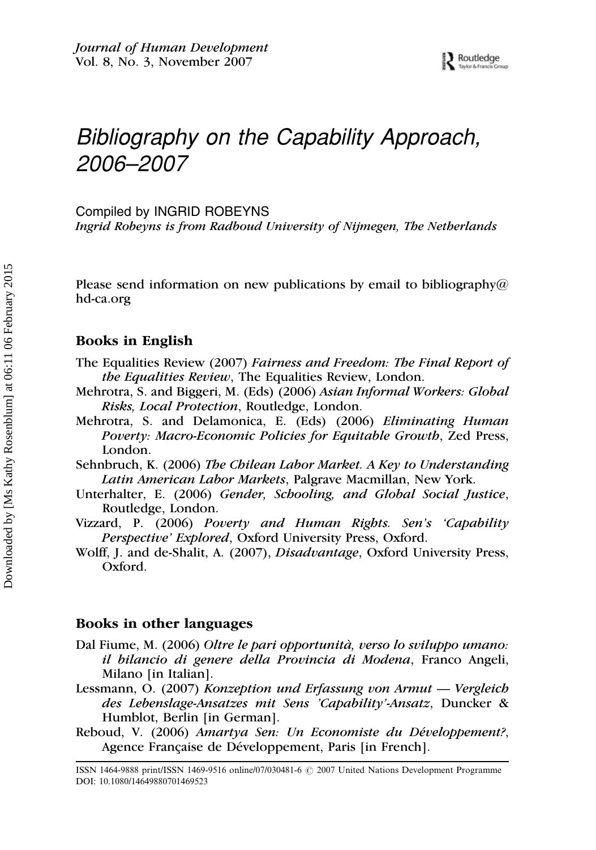# Bibliography on the Capability Approach, 2006–2007

Compiled by INGRID ROBEYNS

Ingrid Robeyns is from Radboud University of Nijmegen, The Netherlands

Please send information on new publications by email to bibliography@ hd-ca.org

#### Books in English

- The Equalities Review (2007) Fairness and Freedom: The Final Report of the Equalities Review, The Equalities Review, London.
- Mehrotra, S. and Biggeri, M. (Eds) (2006) Asian Informal Workers: Global Risks, Local Protection, Routledge, London.
- Mehrotra, S. and Delamonica, E. (Eds) (2006) Eliminating Human Poverty: Macro-Economic Policies for Equitable Growth, Zed Press, London.
- Sehnbruch, K. (2006) The Chilean Labor Market. A Key to Understanding Latin American Labor Markets, Palgrave Macmillan, New York.
- Unterhalter, E. (2006) Gender, Schooling, and Global Social Justice, Routledge, London.
- Vizzard, P. (2006) Poverty and Human Rights. Sen's 'Capability Perspective' Explored, Oxford University Press, Oxford.
- Wolff, J. and de-Shalit, A. (2007), Disadvantage, Oxford University Press, Oxford.

#### Books in other languages

- Dal Fiume, M. (2006) Oltre le pari opportunità, verso lo sviluppo umano: il bilancio di genere della Provincia di Modena, Franco Angeli, Milano [in Italian].
- Lessmann, O. (2007) Konzeption und Erfassung von Armut Vergleich des Lebenslage-Ansatzes mit Sens 'Capability'-Ansatz, Duncker & Humblot, Berlin [in German].
- Reboud, V. (2006) Amartya Sen: Un Economiste du Développement?, Agence Française de Développement, Paris [in French].

ISSN 1464-9888 print/ISSN 1469-9516 online/07/030481-6  $\degree$  2007 United Nations Development Programme DOI: 10.1080/14649880701469523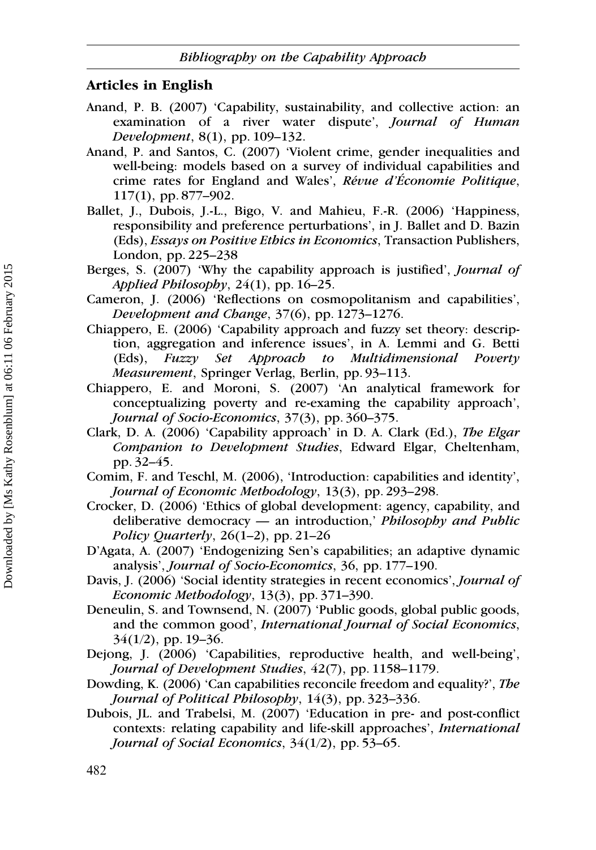#### Articles in English

- Anand, P. B. (2007) 'Capability, sustainability, and collective action: an examination of a river water dispute', Journal of Human Development, 8(1), pp. 109–132.
- Anand, P. and Santos, C. (2007) 'Violent crime, gender inequalities and well-being: models based on a survey of individual capabilities and crime rates for England and Wales', Révue d'Économie Politique, 117(1), pp. 877–902.
- Ballet, J., Dubois, J.-L., Bigo, V. and Mahieu, F.-R. (2006) 'Happiness, responsibility and preference perturbations', in J. Ballet and D. Bazin (Eds), Essays on Positive Ethics in Economics, Transaction Publishers, London, pp. 225–238
- Berges, S. (2007) 'Why the capability approach is justified', Journal of Applied Philosophy,  $24(1)$ , pp. 16–25.
- Cameron, J. (2006) 'Reflections on cosmopolitanism and capabilities', Development and Change, 37(6), pp. 1273–1276.
- Chiappero, E. (2006) 'Capability approach and fuzzy set theory: description, aggregation and inference issues', in A. Lemmi and G. Betti (Eds), Fuzzy Set Approach to Multidimensional Poverty Measurement, Springer Verlag, Berlin, pp. 93–113.
- Chiappero, E. and Moroni, S. (2007) 'An analytical framework for conceptualizing poverty and re-examing the capability approach', Journal of Socio-Economics, 37(3), pp. 360-375.
- Clark, D. A. (2006) 'Capability approach' in D. A. Clark (Ed.), The Elgar Companion to Development Studies, Edward Elgar, Cheltenham, pp. 32–45.
- Comim, F. and Teschl, M. (2006), 'Introduction: capabilities and identity', Journal of Economic Methodology, 13(3), pp. 293–298.
- Crocker, D. (2006) 'Ethics of global development: agency, capability, and deliberative democracy — an introduction,' Philosophy and Public Policy Quarterly,  $26(1-2)$ , pp. 21–26
- D'Agata, A. (2007) 'Endogenizing Sen's capabilities; an adaptive dynamic analysis', Journal of Socio-Economics, 36, pp. 177–190.
- Davis, J. (2006) 'Social identity strategies in recent economics', Journal of Economic Methodology, 13(3), pp. 371–390.
- Deneulin, S. and Townsend, N. (2007) 'Public goods, global public goods, and the common good', International Journal of Social Economics,  $34(1/2)$ , pp. 19–36.
- Dejong, J. (2006) 'Capabilities, reproductive health, and well-being', Journal of Development Studies, 42(7), pp. 1158–1179.
- Dowding, K. (2006) 'Can capabilities reconcile freedom and equality?', The Journal of Political Philosophy, 14(3), pp. 323-336.
- Dubois, JL. and Trabelsi, M. (2007) 'Education in pre- and post-conflict contexts: relating capability and life-skill approaches', International Journal of Social Economics, 34(1/2), pp. 53-65.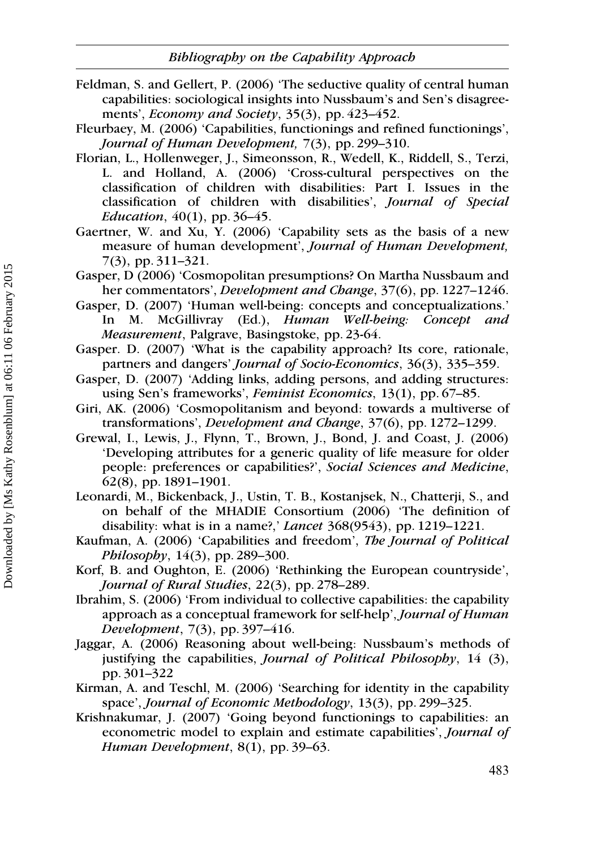Feldman, S. and Gellert, P. (2006) 'The seductive quality of central human capabilities: sociological insights into Nussbaum's and Sen's disagreements', *Economy and Society*, 35(3), pp. 423–452.

Fleurbaey, M. (2006) 'Capabilities, functionings and refined functionings', Journal of Human Development, 7(3), pp. 299–310.

- Florian, L., Hollenweger, J., Simeonsson, R., Wedell, K., Riddell, S., Terzi, L. and Holland, A. (2006) 'Cross-cultural perspectives on the classification of children with disabilities: Part I. Issues in the classification of children with disabilities', Journal of Special Education,  $40(1)$ , pp. 36–45.
- Gaertner, W. and Xu, Y. (2006) 'Capability sets as the basis of a new measure of human development', Journal of Human Development, 7(3), pp. 311–321.
- Gasper, D (2006) 'Cosmopolitan presumptions? On Martha Nussbaum and her commentators', *Development and Change*, 37(6), pp. 1227–1246.
- Gasper, D. (2007) 'Human well-being: concepts and conceptualizations.' In M. McGillivray (Ed.), Human Well-being: Concept and Measurement, Palgrave, Basingstoke, pp. 23-64.
- Gasper. D. (2007) 'What is the capability approach? Its core, rationale, partners and dangers' Journal of Socio-Economics, 36(3), 335–359.
- Gasper, D. (2007) 'Adding links, adding persons, and adding structures: using Sen's frameworks', Feminist Economics, 13(1), pp. 67–85.
- Giri, AK. (2006) 'Cosmopolitanism and beyond: towards a multiverse of transformations', Development and Change, 37(6), pp. 1272–1299.
- Grewal, I., Lewis, J., Flynn, T., Brown, J., Bond, J. and Coast, J. (2006) 'Developing attributes for a generic quality of life measure for older people: preferences or capabilities?', Social Sciences and Medicine, 62(8), pp. 1891–1901.
- Leonardi, M., Bickenback, J., Ustin, T. B., Kostanjsek, N., Chatterji, S., and on behalf of the MHADIE Consortium (2006) 'The definition of disability: what is in a name?,' Lancet 368(9543), pp. 1219–1221.
- Kaufman, A. (2006) 'Capabilities and freedom', The Journal of Political Philosophy, 14(3), pp. 289-300.
- Korf, B. and Oughton, E. (2006) 'Rethinking the European countryside', Journal of Rural Studies, 22(3), pp. 278-289.
- Ibrahim, S. (2006) 'From individual to collective capabilities: the capability approach as a conceptual framework for self-help', Journal of Human Development, 7(3), pp. 397–416.
- Jaggar, A. (2006) Reasoning about well-being: Nussbaum's methods of justifying the capabilities, *Journal of Political Philosophy*,  $14$  (3), pp. 301–322
- Kirman, A. and Teschl, M. (2006) 'Searching for identity in the capability space', Journal of Economic Methodology, 13(3), pp. 299–325.
- Krishnakumar, J. (2007) 'Going beyond functionings to capabilities: an econometric model to explain and estimate capabilities', Journal of Human Development, 8(1), pp. 39–63.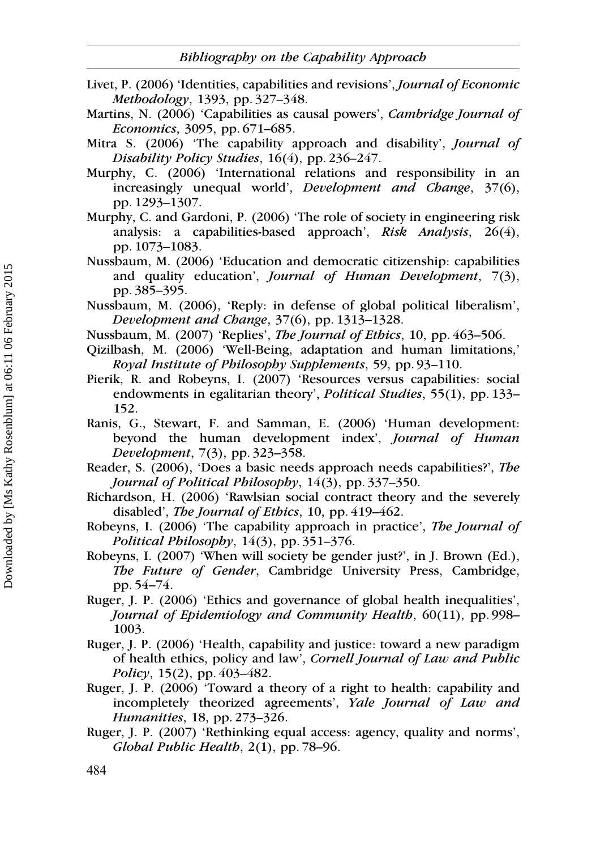- Livet, P. (2006) 'Identities, capabilities and revisions', Journal of Economic Methodology, 1393, pp. 327–348.
- Martins, N. (2006) 'Capabilities as causal powers', Cambridge Journal of Economics, 3095, pp. 671–685.
- Mitra S. (2006) 'The capability approach and disability', Journal of Disability Policy Studies, 16(4), pp. 236–247.
- Murphy, C. (2006) 'International relations and responsibility in an increasingly unequal world', *Development and Change*, 37(6), pp. 1293–1307.
- Murphy, C. and Gardoni, P. (2006) 'The role of society in engineering risk analysis: a capabilities-based approach', Risk Analysis, 26(4), pp. 1073–1083.
- Nussbaum, M. (2006) 'Education and democratic citizenship: capabilities and quality education', *Journal of Human Development*, 7(3), pp. 385–395.
- Nussbaum, M. (2006), 'Reply: in defense of global political liberalism', Development and Change, 37(6), pp. 1313–1328.
- Nussbaum, M. (2007) 'Replies', *The Journal of Ethics*, 10, pp. 463–506.
- Qizilbash, M. (2006) 'Well-Being, adaptation and human limitations,' Royal Institute of Philosophy Supplements, 59, pp. 93–110.
- Pierik, R. and Robeyns, I. (2007) 'Resources versus capabilities: social endowments in egalitarian theory', Political Studies, 55(1), pp. 133– 152.
- Ranis, G., Stewart, F. and Samman, E. (2006) 'Human development: beyond the human development index', *Journal of Human* Development, 7(3), pp. 323–358.
- Reader, S. (2006), 'Does a basic needs approach needs capabilities?', The Journal of Political Philosophy, 14(3), pp. 337–350.
- Richardson, H. (2006) 'Rawlsian social contract theory and the severely disabled', *The Journal of Ethics*, 10, pp. 419–462.
- Robeyns, I. (2006) 'The capability approach in practice', The Journal of Political Philosophy,  $14(3)$ , pp. 351–376.
- Robeyns, I. (2007) 'When will society be gender just?', in J. Brown (Ed.), The Future of Gender, Cambridge University Press, Cambridge, pp. 54–74.
- Ruger, J. P. (2006) 'Ethics and governance of global health inequalities', Journal of Epidemiology and Community Health, 60(11), pp. 998– 1003.
- Ruger, J. P. (2006) 'Health, capability and justice: toward a new paradigm of health ethics, policy and law', Cornell Journal of Law and Public Policy, 15(2), pp. 403–482.
- Ruger, J. P. (2006) 'Toward a theory of a right to health: capability and incompletely theorized agreements', Yale Journal of Law and Humanities, 18, pp. 273–326.
- Ruger, J. P. (2007) 'Rethinking equal access: agency, quality and norms', Global Public Health, 2(1), pp. 78–96.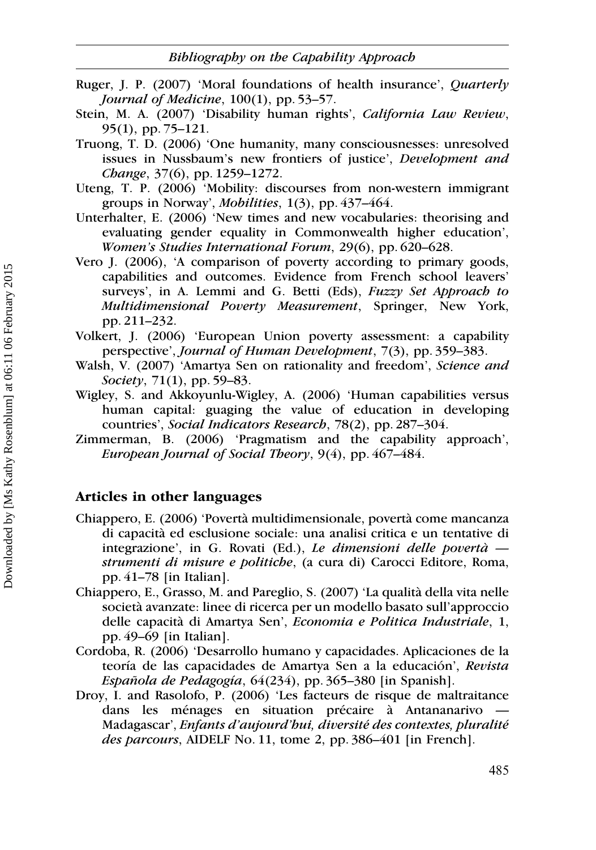- Ruger, J. P. (2007) 'Moral foundations of health insurance', Quarterly Journal of Medicine, 100(1), pp. 53–57.
- Stein, M. A. (2007) 'Disability human rights', California Law Review, 95(1), pp. 75–121.
- Truong, T. D. (2006) 'One humanity, many consciousnesses: unresolved issues in Nussbaum's new frontiers of justice', Development and Change, 37(6), pp. 1259–1272.
- Uteng, T. P. (2006) 'Mobility: discourses from non-western immigrant groups in Norway', Mobilities, 1(3), pp. 437–464.
- Unterhalter, E. (2006) 'New times and new vocabularies: theorising and evaluating gender equality in Commonwealth higher education', Women's Studies International Forum, 29(6), pp. 620–628.
- Vero J. (2006), 'A comparison of poverty according to primary goods, capabilities and outcomes. Evidence from French school leavers' surveys', in A. Lemmi and G. Betti (Eds), Fuzzy Set Approach to Multidimensional Poverty Measurement, Springer, New York, pp. 211–232.
- Volkert, J. (2006) 'European Union poverty assessment: a capability perspective', Journal of Human Development, 7(3), pp. 359–383.
- Walsh, V. (2007) 'Amartya Sen on rationality and freedom', Science and Society, 71(1), pp. 59–83.
- Wigley, S. and Akkoyunlu-Wigley, A. (2006) 'Human capabilities versus human capital: guaging the value of education in developing countries', Social Indicators Research, 78(2), pp. 287–304.
- Zimmerman, B. (2006) 'Pragmatism and the capability approach', European Journal of Social Theory, 9(4), pp. 467–484.

#### Articles in other languages

- Chiappero, E. (2006) 'Poverta` multidimensionale, poverta` come mancanza di capacita` ed esclusione sociale: una analisi critica e un tentative di integrazione', in G. Rovati (Ed.), Le dimensioni delle povertà  $$ strumenti di misure e politiche, (a cura di) Carocci Editore, Roma, pp. 41–78 [in Italian].
- Chiappero, E., Grasso, M. and Pareglio, S. (2007) 'La qualita` della vita nelle società avanzate: linee di ricerca per un modello basato sull'approccio delle capacita` di Amartya Sen', Economia e Politica Industriale, 1, pp. 49–69 [in Italian].
- Cordoba, R. (2006) 'Desarrollo humano y capacidades. Aplicaciones de la teoría de las capacidades de Amartya Sen a la educación', Revista Española de Pedagogía,  $64(234)$ , pp. 365–380 [in Spanish].
- Droy, I. and Rasolofo, P. (2006) 'Les facteurs de risque de maltraitance dans les ménages en situation précaire à Antananarivo Madagascar', Enfants d'aujourd'hui, diversité des contextes, pluralité des parcours, AIDELF No. 11, tome 2, pp. 386–401 [in French].